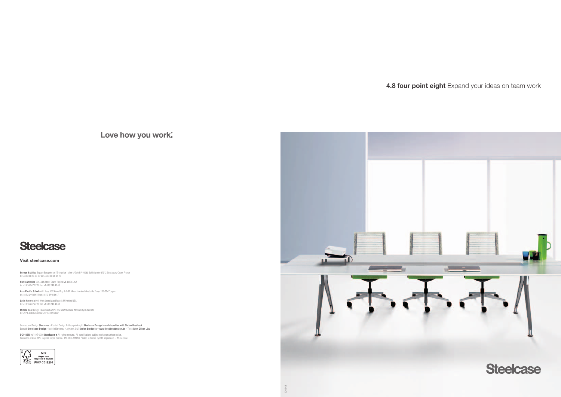Love how you work.





**Visit steelcase.com**

**Europe & Africa** Espace Européen de l'Entreprise 1 allée d'Oslo BP 40033 Schiltigheim 67012 Strasbourg Cedex France tel: +33 3 88 13 30 30 fax: +33 3 88 28 31 78

**North America** 901, 44th Street Grand Rapids MI 49508 USA tel: +1 616 247 27 10 fax: +1 616 246 40 40

**Asia Pacific & India** 4th floor, N32 Kowa Bdg 5-2-32 Minami-Azabu Minato-Ku Tokyo 106-0047 Japan tel: +81 3 3448 9611 fax: +81 3 3448 9617

**Latin America** 901, 44th Street Grand Rapids MI 49508 USA tel: +1 616 247 27 10 fax: +1 616 246 40 40

**Middle East** Design House unit A2 PO Box 502596 Dubai Media City Dubai UAE tel: +971 4 369 7838 fax: +971 4 369 7837

Concept and Design **Steelcase** - Product Design 4.8 four point eight **Steelcase Design in collaboration with Stefan Brodbeck**<br>Eastside **Steelcase Design** - Mobile Elements, H. System, QiVi **Stefan Brodbeck – www.brodbeckde** 

**DC148EN** 10/11 © 2009 **Steelcase** ® All rights reserved. All specifications subject to change without notice.<br>Printed on at least 60% recycled paper. Cert no. BV-COC-858659. Printed in France by OTT Imprimeurs – Wasselo



## **4.8 four point eight** Expand your ideas on team work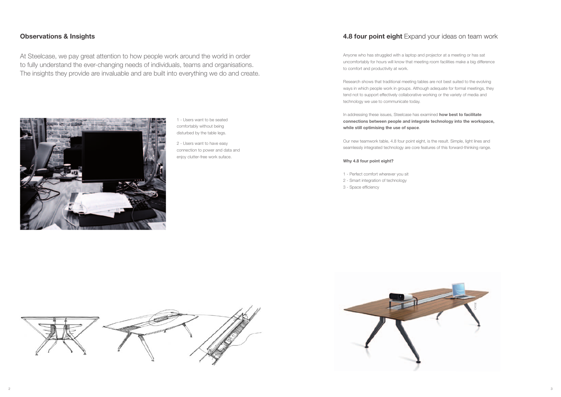

1 - Users want to be seated comfortably without being disturbed by the table legs.

2 - Users want to have easy connection to power and data and enjoy clutter-free work suface.

### **4.8 four point eight** Expand your ideas on team work

At Steelcase, we pay great attention to how people work around the world in order to fully understand the ever-changing needs of individuals, teams and organisations. The insights they provide are invaluable and are built into everything we do and create.



### **Observations & Insights**

Anyone who has struggled with a laptop and projector at a meeting or has sat uncomfortably for hours will know that meeting room facilities make a big difference to comfort and productivity at work.

Research shows that traditional meeting tables are not best suited to the evolving ways in which people work in groups. Although adequate for formal meetings, they tend not to support effectively collaborative working or the variety of media and technology we use to communicate today.

In addressing these issues, Steelcase has examined **how best to facilitate connections between people and integrate technology into the workspace, while still optimising the use of space**.

Our new teamwork table, 4.8 four point eight, is the result. Simple, light lines and seamlessly integrated technology are core features of this forward-thinking range.

#### **Why 4.8 four point eight?**

- 1 Perfect comfort wherever you sit
- 2 Smart integration of technology
- 3 Space efficiency

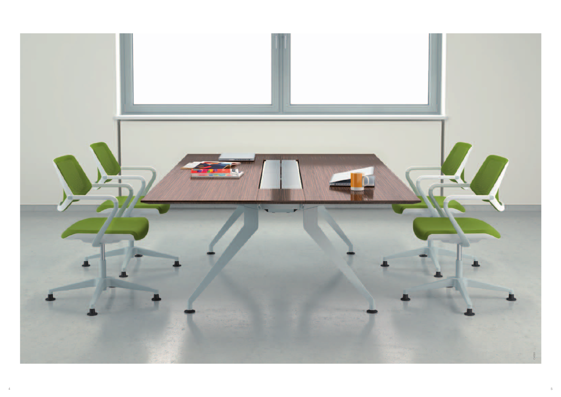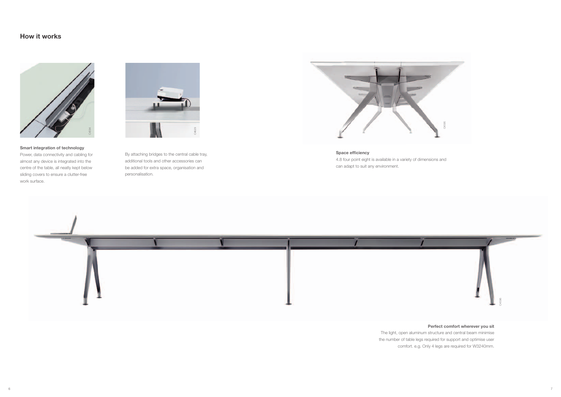





### **How it works**

**Space efficiency** 4.8 four point eight is available in a variety of dimensions and can adapt to suit any environment.

## **Perfect comfort wherever you sit**

The light, open aluminum structure and central beam minimise the number of table legs required for support and optimise user comfort. e.g. Only 4 legs are required for W3240mm.



**Smart integration of technology** Power, data connectivity and cabling for almost any device is integrated into the centre of the table, all neatly kept below sliding covers to ensure a clutter-free work surface.

By attaching bridges to the central cable tray, additional tools and other accessories can be added for extra space, organisation and personalisation.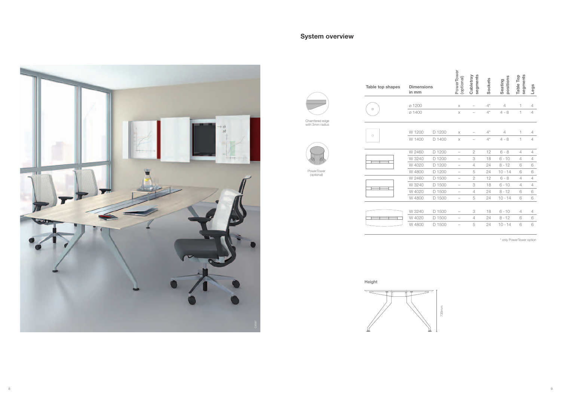

8 9

**PowerTower** (optional)

Height



\* only PowerTower option

<sub>2</sub>0

# **System overview**



| VV 4      |
|-----------|
| W 2       |
| W 3:      |
| W 4       |
| $M\Delta$ |

| W 324 |
|-------|
| W 402 |
| W 480 |

| <b>Dimensions</b><br>in mm |        | PowerTower<br>(optional) | segments<br>Cabletray | <b>Sockets</b> | positions<br>Seating | segments<br>Table Top | Legs           |
|----------------------------|--------|--------------------------|-----------------------|----------------|----------------------|-----------------------|----------------|
|                            |        |                          |                       |                |                      |                       |                |
| ø 1200                     |        | $\mathsf X$              |                       | $4^*$          | $\overline{4}$       | 1                     | 4              |
| ø 1400                     |        | $\times$                 |                       | $4^*$          | $4 - 8$              | 1                     | $\overline{4}$ |
| W 1200                     | D 1200 | X                        |                       | $4^*$          | 4                    | 1                     | 4              |
| W 1400                     | D 1400 | $\times$                 |                       | $4^*$          | $4 - 8$              | $\mathbf 1$           | 4              |
| W 2460                     | D 1200 | $\overline{\phantom{0}}$ | $\overline{2}$        | 12             | $6 - 8$              | $\overline{4}$        | $\overline{4}$ |
| W 3240                     | D 1200 |                          | 3                     | 18             | $6 - 10$             | 4                     | $\overline{4}$ |
| W 4020                     | D 1200 | $\overline{\phantom{0}}$ | 4                     | 24             | $8 - 12$             | 6                     | 6              |
| W 4800                     | D 1200 | $\overline{\phantom{0}}$ | 5                     | 24             | $10 - 14$            | 6                     | 6              |
| W 2460                     | D 1500 | $\overline{\phantom{0}}$ | 2                     | 12             | $6 - 8$              | 4                     | $\overline{4}$ |
| W 3240                     | D 1500 | $\overline{\phantom{0}}$ | 3                     | 18             | $6 - 10$             | 4                     | $\overline{4}$ |
| W 4020                     | D 1500 |                          | 4                     | 24             | $8 - 12$             | 6                     | 6              |
| W 4800                     | D 1500 |                          | 5                     | 24             | $10 - 14$            | 6                     | 6              |
|                            |        |                          |                       |                |                      |                       |                |
| W 3240                     | D 1500 |                          | 3                     | 18             | $6 - 10$             | 4                     | 4              |
| W 4020                     | D 1500 |                          | $\overline{4}$        | 24             | $8 - 12$             | 6                     | 6              |
| W 4800                     | D 1500 |                          | 5                     | 24             | $10 - 14$            | 6                     | 6              |